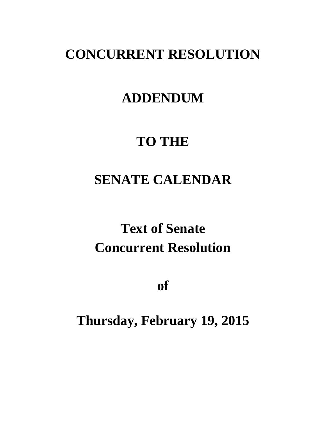### **CONCURRENT RESOLUTION**

### **ADDENDUM**

### **TO THE**

## **SENATE CALENDAR**

# **Text of Senate Concurrent Resolution**

**of**

### **Thursday, February 19, 2015**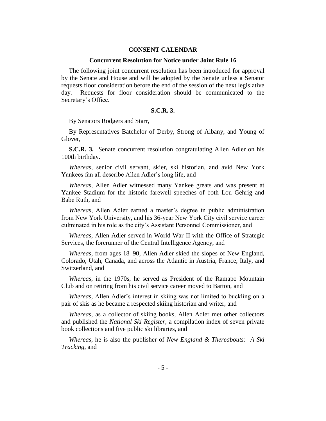#### **CONSENT CALENDAR**

#### **Concurrent Resolution for Notice under Joint Rule 16**

The following joint concurrent resolution has been introduced for approval by the Senate and House and will be adopted by the Senate unless a Senator requests floor consideration before the end of the session of the next legislative day. Requests for floor consideration should be communicated to the Secretary's Office.

#### **S.C.R. 3.**

By Senators Rodgers and Starr,

By Representatives Batchelor of Derby, Strong of Albany, and Young of Glover,

**S.C.R. 3.** Senate concurrent resolution congratulating Allen Adler on his 100th birthday.

*Whereas*, senior civil servant, skier, ski historian, and avid New York Yankees fan all describe Allen Adler's long life, and

*Whereas*, Allen Adler witnessed many Yankee greats and was present at Yankee Stadium for the historic farewell speeches of both Lou Gehrig and Babe Ruth, and

*Whereas*, Allen Adler earned a master's degree in public administration from New York University, and his 36-year New York City civil service career culminated in his role as the city's Assistant Personnel Commissioner, and

*Whereas*, Allen Adler served in World War II with the Office of Strategic Services, the forerunner of the Central Intelligence Agency, and

*Whereas*, from ages 18–90, Allen Adler skied the slopes of New England, Colorado, Utah, Canada, and across the Atlantic in Austria, France, Italy, and Switzerland, and

*Whereas*, in the 1970s, he served as President of the Ramapo Mountain Club and on retiring from his civil service career moved to Barton, and

*Whereas,* Allen Adler's interest in skiing was not limited to buckling on a pair of skis as he became a respected skiing historian and writer, and

*Whereas*, as a collector of skiing books, Allen Adler met other collectors and published the *National Ski Register*, a compilation index of seven private book collections and five public ski libraries, and

*Whereas*, he is also the publisher of *New England & Thereabouts: A Ski Tracking*, and